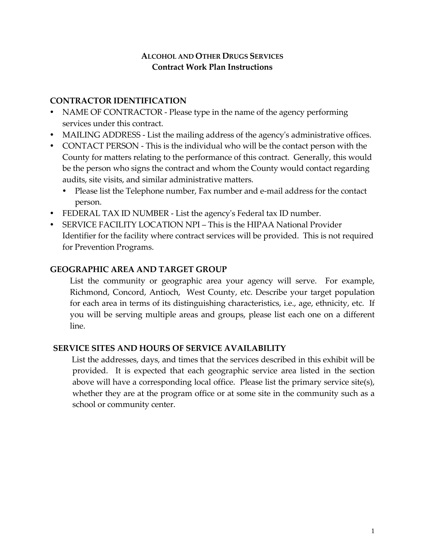# **ALCOHOL AND OTHER DRUGS SERVICES Contract Work Plan Instructions**

# **CONTRACTOR IDENTIFICATION**

- NAME OF CONTRACTOR Please type in the name of the agency performing services under this contract.
- MAILING ADDRESS List the mailing address of the agency's administrative offices.
- CONTACT PERSON This is the individual who will be the contact person with the County for matters relating to the performance of this contract. Generally, this would be the person who signs the contract and whom the County would contact regarding audits, site visits, and similar administrative matters.
	- Please list the Telephone number, Fax number and e-mail address for the contact person.
- FEDERAL TAX ID NUMBER List the agency's Federal tax ID number.
- SERVICE FACILITY LOCATION NPI This is the HIPAA National Provider Identifier for the facility where contract services will be provided. This is not required for Prevention Programs.

# **GEOGRAPHIC AREA AND TARGET GROUP**

List the community or geographic area your agency will serve. For example, Richmond, Concord, Antioch, West County, etc. Describe your target population for each area in terms of its distinguishing characteristics, i.e., age, ethnicity, etc. If you will be serving multiple areas and groups, please list each one on a different line.

# **SERVICE SITES AND HOURS OF SERVICE AVAILABILITY**

List the addresses, days, and times that the services described in this exhibit will be provided. It is expected that each geographic service area listed in the section above will have a corresponding local office. Please list the primary service site(s), whether they are at the program office or at some site in the community such as a school or community center.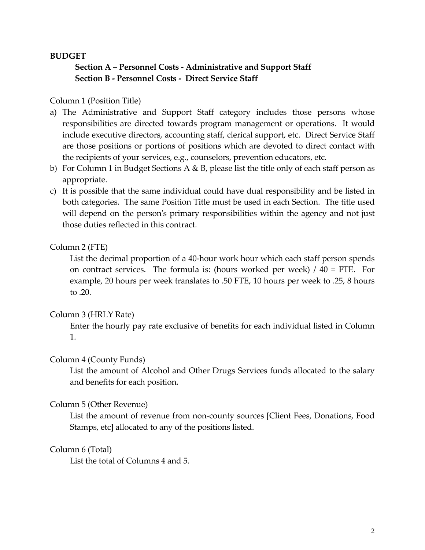#### **BUDGET**

# **Section A – Personnel Costs ‐ Administrative and Support Staff Section B ‐ Personnel Costs ‐ Direct Service Staff**

#### Column 1 (Position Title)

- a) The Administrative and Support Staff category includes those persons whose responsibilities are directed towards program management or operations. It would include executive directors, accounting staff, clerical support, etc. Direct Service Staff are those positions or portions of positions which are devoted to direct contact with the recipients of your services, e.g., counselors, prevention educators, etc.
- b) For Column 1 in Budget Sections A & B, please list the title only of each staff person as appropriate.
- c) It is possible that the same individual could have dual responsibility and be listed in both categories. The same Position Title must be used in each Section. The title used will depend on the person's primary responsibilities within the agency and not just those duties reflected in this contract.

#### Column 2 (FTE)

List the decimal proportion of a 40‐hour work hour which each staff person spends on contract services. The formula is: (hours worked per week)  $/$  40 = FTE. For example, 20 hours per week translates to .50 FTE, 10 hours per week to .25, 8 hours to .20.

#### Column 3 (HRLY Rate)

Enter the hourly pay rate exclusive of benefits for each individual listed in Column 1.

#### Column 4 (County Funds)

List the amount of Alcohol and Other Drugs Services funds allocated to the salary and benefits for each position.

#### Column 5 (Other Revenue)

List the amount of revenue from non‐county sources [Client Fees, Donations, Food Stamps, etc] allocated to any of the positions listed.

#### Column 6 (Total)

List the total of Columns 4 and 5.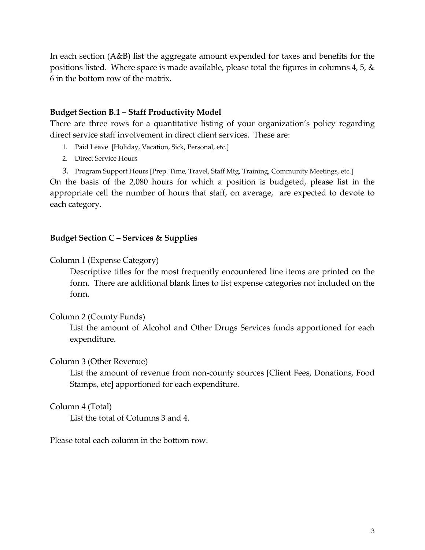In each section (A&B) list the aggregate amount expended for taxes and benefits for the positions listed. Where space is made available, please total the figures in columns 4, 5, & 6 in the bottom row of the matrix.

#### **Budget Section B.1 – Staff Productivity Model**

There are three rows for a quantitative listing of your organization's policy regarding direct service staff involvement in direct client services. These are:

- 1. Paid Leave [Holiday, Vacation, Sick, Personal, etc.]
- 2. Direct Service Hours

3. Program Support Hours [Prep. Time, Travel, Staff Mtg, Training, Community Meetings, etc.]

On the basis of the 2,080 hours for which a position is budgeted, please list in the appropriate cell the number of hours that staff, on average, are expected to devote to each category.

#### **Budget Section C – Services & Supplies**

Column 1 (Expense Category)

Descriptive titles for the most frequently encountered line items are printed on the form. There are additional blank lines to list expense categories not included on the form.

#### Column 2 (County Funds)

List the amount of Alcohol and Other Drugs Services funds apportioned for each expenditure.

#### Column 3 (Other Revenue)

List the amount of revenue from non‐county sources [Client Fees, Donations, Food Stamps, etc] apportioned for each expenditure.

#### Column 4 (Total)

List the total of Columns 3 and 4.

Please total each column in the bottom row.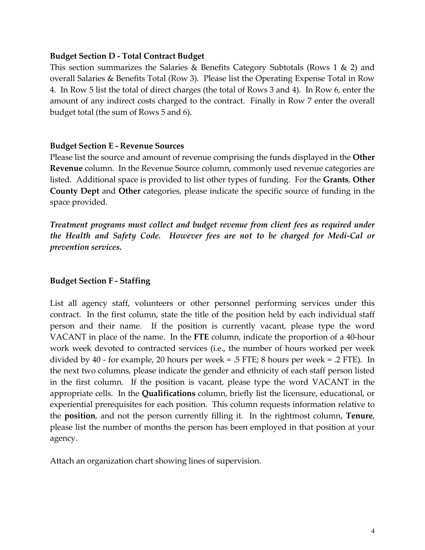#### **Budget Section D ‐ Total Contract Budget**

This section summarizes the Salaries & Benefits Category Subtotals (Rows 1 & 2) and overall Salaries & Benefits Total (Row 3). Please list the Operating Expense Total in Row 4. In Row 5 list the total of direct charges (the total of Rows 3 and 4). In Row 6, enter the amount of any indirect costs charged to the contract. Finally in Row 7 enter the overall budget total (the sum of Rows 5 and 6).

#### **Budget Section E ‐ Revenue Sources**

Please list the source and amount of revenue comprising the funds displayed in the **Other Revenue** column. In the Revenue Source column, commonly used revenue categories are listed. Additional space is provided to list other types of funding. For the **Grants**, **Other County Dept** and **Other** categories, please indicate the specific source of funding in the space provided.

*Treatment programs must collect and budget revenue from client fees as required under the Health and Safety Code. However fees are not to be charged for Medi‐Cal or prevention services.* 

#### **Budget Section F ‐ Staffing**

List all agency staff, volunteers or other personnel performing services under this contract. In the first column, state the title of the position held by each individual staff person and their name. If the position is currently vacant, please type the word VACANT in place of the name. In the **FTE** column, indicate the proportion of a 40‐hour work week devoted to contracted services (i.e., the number of hours worked per week divided by 40 ‐ for example, 20 hours per week = .5 FTE; 8 hours per week = .2 FTE). In the next two columns, please indicate the gender and ethnicity of each staff person listed in the first column. If the position is vacant, please type the word VACANT in the appropriate cells. In the **Qualifications** column, briefly list the licensure, educational, or experiential prerequisites for each position. This column requests information relative to the **position**, and not the person currently filling it. In the rightmost column, **Tenure**, please list the number of months the person has been employed in that position at your agency.

Attach an organization chart showing lines of supervision.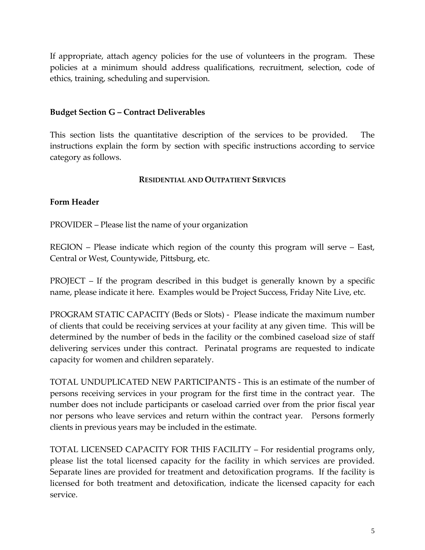If appropriate, attach agency policies for the use of volunteers in the program. These policies at a minimum should address qualifications, recruitment, selection, code of ethics, training, scheduling and supervision.

## **Budget Section G – Contract Deliverables**

This section lists the quantitative description of the services to be provided. The instructions explain the form by section with specific instructions according to service category as follows.

#### **RESIDENTIAL AND OUTPATIENT SERVICES**

## **Form Header**

PROVIDER – Please list the name of your organization

REGION – Please indicate which region of the county this program will serve – East, Central or West, Countywide, Pittsburg, etc.

PROJECT – If the program described in this budget is generally known by a specific name, please indicate it here. Examples would be Project Success, Friday Nite Live, etc.

PROGRAM STATIC CAPACITY (Beds or Slots) ‐ Please indicate the maximum number of clients that could be receiving services at your facility at any given time. This will be determined by the number of beds in the facility or the combined caseload size of staff delivering services under this contract. Perinatal programs are requested to indicate capacity for women and children separately.

TOTAL UNDUPLICATED NEW PARTICIPANTS ‐ This is an estimate of the number of persons receiving services in your program for the first time in the contract year. The number does not include participants or caseload carried over from the prior fiscal year nor persons who leave services and return within the contract year. Persons formerly clients in previous years may be included in the estimate.

TOTAL LICENSED CAPACITY FOR THIS FACILITY – For residential programs only, please list the total licensed capacity for the facility in which services are provided. Separate lines are provided for treatment and detoxification programs. If the facility is licensed for both treatment and detoxification, indicate the licensed capacity for each service.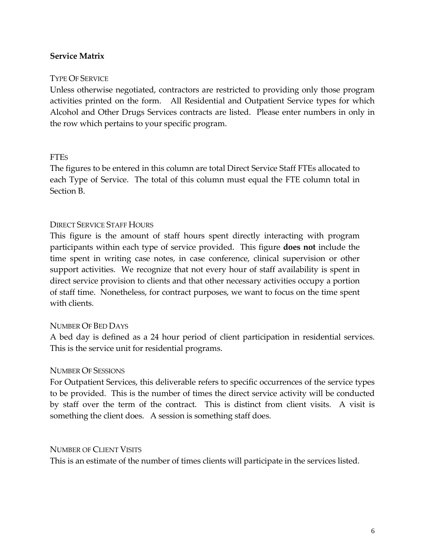# **Service Matrix**

## TYPE OF SERVICE

Unless otherwise negotiated, contractors are restricted to providing only those program activities printed on the form. All Residential and Outpatient Service types for which Alcohol and Other Drugs Services contracts are listed. Please enter numbers in only in the row which pertains to your specific program.

## FTES

The figures to be entered in this column are total Direct Service Staff FTEs allocated to each Type of Service. The total of this column must equal the FTE column total in Section B.

## DIRECT SERVICE STAFF HOURS

This figure is the amount of staff hours spent directly interacting with program participants within each type of service provided. This figure **does not** include the time spent in writing case notes, in case conference, clinical supervision or other support activities. We recognize that not every hour of staff availability is spent in direct service provision to clients and that other necessary activities occupy a portion of staff time. Nonetheless, for contract purposes, we want to focus on the time spent with clients.

#### NUMBER OF BED DAYS

A bed day is defined as a 24 hour period of client participation in residential services. This is the service unit for residential programs.

#### NUMBER OF SESSIONS

For Outpatient Services, this deliverable refers to specific occurrences of the service types to be provided. This is the number of times the direct service activity will be conducted by staff over the term of the contract. This is distinct from client visits. A visit is something the client does. A session is something staff does.

#### NUMBER OF CLIENT VISITS

This is an estimate of the number of times clients will participate in the services listed.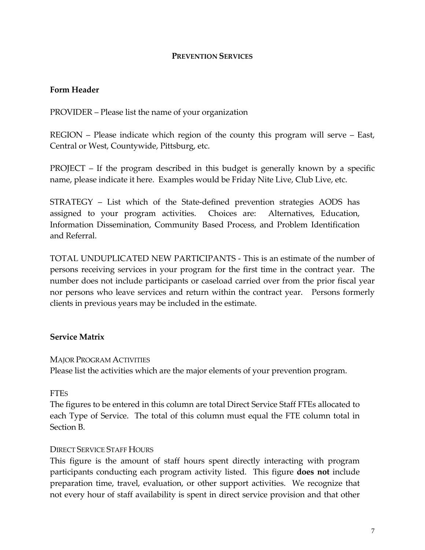#### **PREVENTION SERVICES**

## **Form Header**

PROVIDER – Please list the name of your organization

REGION – Please indicate which region of the county this program will serve – East, Central or West, Countywide, Pittsburg, etc.

PROJECT – If the program described in this budget is generally known by a specific name, please indicate it here. Examples would be Friday Nite Live, Club Live, etc.

STRATEGY – List which of the State‐defined prevention strategies AODS has assigned to your program activities. Choices are: Alternatives, Education, Information Dissemination, Community Based Process, and Problem Identification and Referral.

TOTAL UNDUPLICATED NEW PARTICIPANTS ‐ This is an estimate of the number of persons receiving services in your program for the first time in the contract year. The number does not include participants or caseload carried over from the prior fiscal year nor persons who leave services and return within the contract year. Persons formerly clients in previous years may be included in the estimate.

# **Service Matrix**

#### MAJOR PROGRAM ACTIVITIES

Please list the activities which are the major elements of your prevention program.

#### FTES

The figures to be entered in this column are total Direct Service Staff FTEs allocated to each Type of Service. The total of this column must equal the FTE column total in Section B.

#### DIRECT SERVICE STAFF HOURS

This figure is the amount of staff hours spent directly interacting with program participants conducting each program activity listed. This figure **does not** include preparation time, travel, evaluation, or other support activities. We recognize that not every hour of staff availability is spent in direct service provision and that other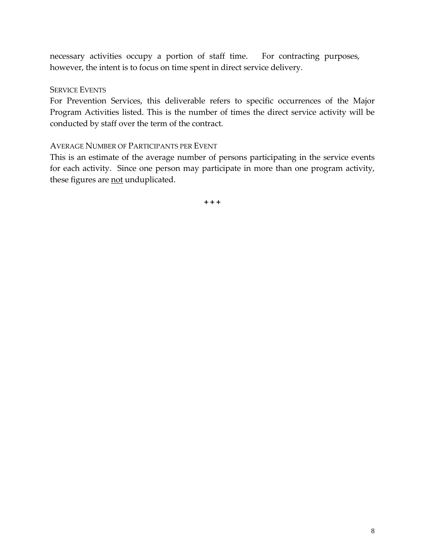necessary activities occupy a portion of staff time. For contracting purposes, however, the intent is to focus on time spent in direct service delivery.

#### SERVICE EVENTS

For Prevention Services, this deliverable refers to specific occurrences of the Major Program Activities listed. This is the number of times the direct service activity will be conducted by staff over the term of the contract.

#### AVERAGE NUMBER OF PARTICIPANTS PER EVENT

This is an estimate of the average number of persons participating in the service events for each activity. Since one person may participate in more than one program activity, these figures are not unduplicated.

**+ + +**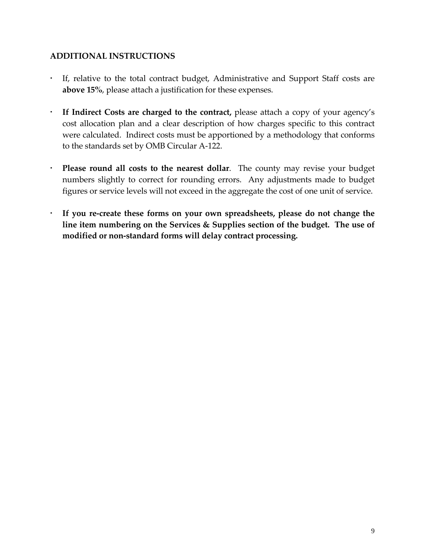# **ADDITIONAL INSTRUCTIONS**

- If, relative to the total contract budget, Administrative and Support Staff costs are **above 15%**, please attach a justification for these expenses.
- **If Indirect Costs are charged to the contract,** please attach a copy of your agency's cost allocation plan and a clear description of how charges specific to this contract were calculated. Indirect costs must be apportioned by a methodology that conforms to the standards set by OMB Circular A‐122.
- **Please round all costs to the nearest dollar**. The county may revise your budget numbers slightly to correct for rounding errors. Any adjustments made to budget figures or service levels will not exceed in the aggregate the cost of one unit of service.
- **If you re‐create these forms on your own spreadsheets, please do not change the line item numbering on the Services & Supplies section of the budget. The use of modified or non‐standard forms will delay contract processing.**